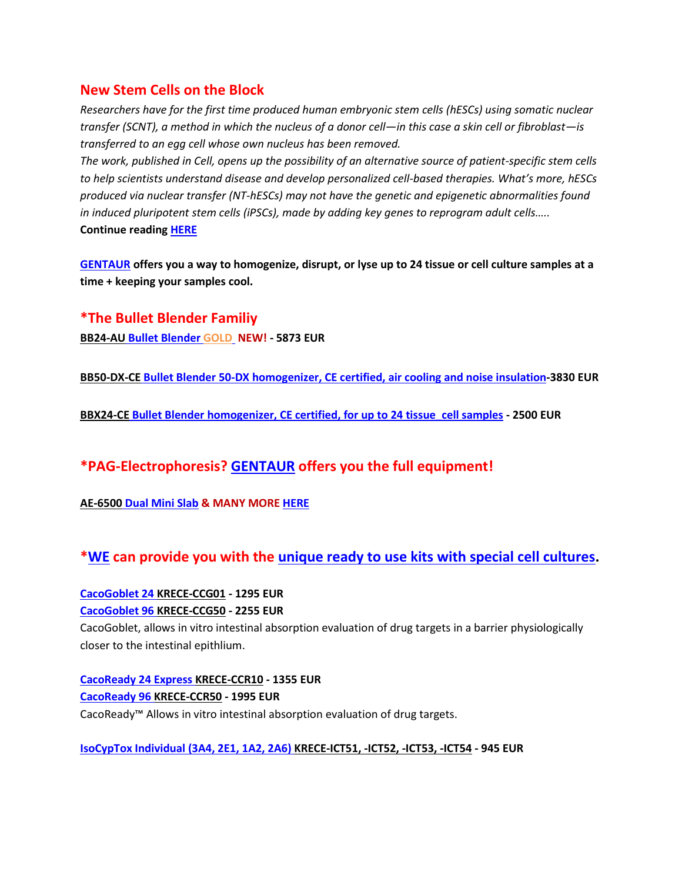## **New Stem Cells on the Block**

*Researchers have for the first time produced human embryonic stem cells (hESCs) using somatic nuclear transfer (SCNT), a method in which the nucleus of a donor cell—in this case a skin cell or fibroblast—is transferred to an egg cell whose own nucleus has been removed.*

*The work, published in Cell, opens up the possibility of an alternative source of patient-specific stem cells to help scientists understand disease and develop personalized cell-based therapies. What's more, hESCs produced via nuclear transfer (NT-hESCs) may not have the genetic and epigenetic abnormalities found in induced pluripotent stem cells (iPSCs), made by adding key genes to reprogram adult cells…..* **Continue reading [HERE](http://gentaur-worldwide.com/index.php?option=com_k2&view=item&id=149:new-stem-cells-on-the-block&Itemid=530)**

**[GENTAUR](http://www.gentaur-worldwide.com/) offers you a way to homogenize, disrupt, or lyse up to 24 tissue or cell culture samples at a time + keeping your samples cool.**

**\*The Bullet Blender Familiy BB24-AU [Bullet Blender](http://bulletblendergold.com/) GOLD NEW! - 5873 EUR**

**BB50-DX-CE [Bullet Blender 50-DX homogenizer, CE certified, air](http://www.antibody-antibodies.com/product3078278-search-Bullet%20Blender%2050_DX%20homogenizer,%20CE%20certified,%20for%20up%20to%208%20samples%20in%2050%20mL%20tubes,%20with%20air%20cooling%20and%20noise%20insulation..html) cooling and noise insulation-3830 EUR**

**BBX24-CE [Bullet Blender homogenizer, CE certified, for](http://www.antibody-antibodies.com/product3078279-search-Bullet%20Blender%20homogenizer,%20CE%20certified,%20for%20up%20to%2024%20tissue_cell%20samples%20in%20snap%20cap%20microcentrifuge%20tubes..html) up to 24 tissue\_cell samples - 2500 EUR**

## **\*PAG-Electrophoresis? [GENTAUR](http://www.laboproducts.com/prodct_EP-Blt.html#top) offers you the full equipment!**

**AE-6500 [Dual Mini Slab](http://www.laboproducts.com/prodct_EP-Blt.html#top) & MANY MORE [HERE](http://www.laboproducts.com/prodct_EP-Blt.html#top)**

**[\\*WE](http://www.gentaur-worldwide.com/index.php?option=com_k2&view=item&id=14:bullet-blender&Itemid=563) can provide you with the unique ready to use kits [with special cell cultures.](http://gentaur-worldwide.com/index.php?option=com_virtuemart&view=category&virtuemart_manufacturer_id=37)**

**[CacoGoblet 24](http://gentaur-worldwide.com/index.php?option=com_virtuemart&view=productdetails&virtuemart_product_id=201237&virtuemart_category_id=1) KRECE-CCG01 - 1295 EUR [CacoGoblet 96 KRECE-CCG50](http://gentaur-worldwide.com/index.php?option=com_virtuemart&view=productdetails&virtuemart_product_id=201236&virtuemart_category_id=1) - 2255 EUR**

CacoGoblet, allows in vitro intestinal absorption evaluation of drug targets in a barrier physiologically closer to the intestinal epithlium.

**[CacoReady 24 Express KRECE-CCR10](http://gentaur-worldwide.com/index.php?option=com_virtuemart&view=productdetails&virtuemart_product_id=201233&virtuemart_category_id=1) - 1355 EUR [CacoReady 96 KRECE-CCR50](http://gentaur-worldwide.com/index.php?option=com_virtuemart&view=productdetails&virtuemart_product_id=201230&virtuemart_category_id=1) - 1995 EUR** CacoReady™ Allows in vitro intestinal absorption evaluation of drug targets.

**[IsoCypTox Individual \(3A4, 2E1, 1A2, 2A6\) KRECE-ICT51, -ICT52, -ICT53, -ICT54](http://gentaur-worldwide.com/index.php?option=com_virtuemart&view=productdetails&virtuemart_product_id=201250&virtuemart_category_id=1) - 945 EUR**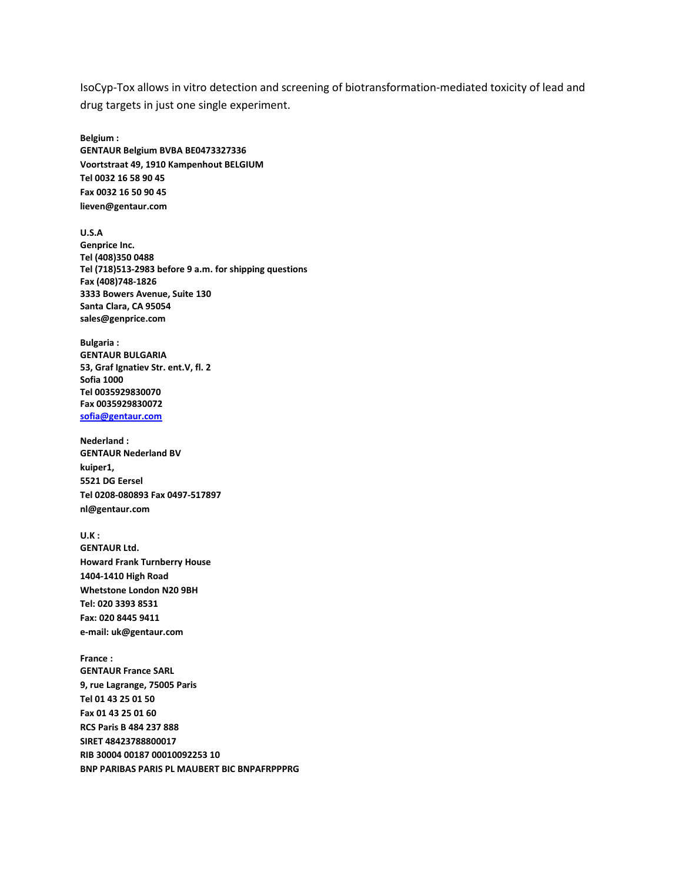IsoCyp-Tox allows in vitro detection and screening of biotransformation-mediated toxicity of lead and drug targets in just one single experiment.

**Belgium :**

**GENTAUR Belgium BVBA BE0473327336 Voortstraat 49, 1910 Kampenhout BELGIUM Tel 0032 16 58 90 45 Fax 0032 16 50 90 45 lieven@gentaur.com**

**U.S.A Genprice Inc. Tel (408)350 0488 Tel (718)513-2983 before 9 a.m. for shipping questions Fax (408)748-1826 3333 Bowers Avenue, Suite 130 Santa Clara, CA 95054 sales@genprice.com**

**Bulgaria : GENTAUR BULGARIA 53, Graf Ignatiev Str. ent.V, fl. 2 Sofia 1000 Tel 0035929830070 Fax 0035929830072 [sofia@gentaur.com](mailto:sofia@gentaur.com)**

**Nederland : GENTAUR Nederland BV kuiper1, 5521 DG Eersel Tel 0208-080893 Fax 0497-517897 nl@gentaur.com** 

**U.K :** 

**GENTAUR Ltd. Howard Frank Turnberry House 1404-1410 High Road Whetstone London N20 9BH Tel: 020 3393 8531 Fax: 020 8445 9411 e-mail: uk@gentaur.com** 

**France : GENTAUR France SARL 9, rue Lagrange, 75005 Paris Tel 01 43 25 01 50 Fax 01 43 25 01 60 RCS Paris B 484 237 888 SIRET 48423788800017 RIB 30004 00187 00010092253 10 BNP PARIBAS PARIS PL MAUBERT BIC BNPAFRPPPRG**